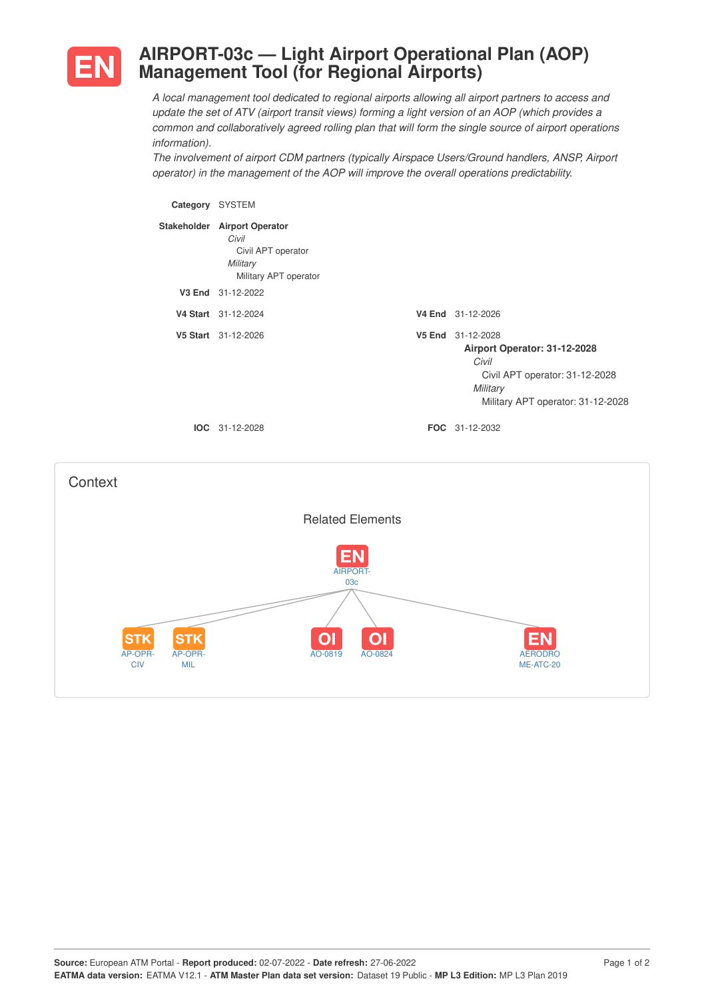

## **AIRPORT-03c — Light Airport Operational Plan (AOP) Management Tool (for Regional Airports)**

*A local management tool dedicated to regional airports allowing all airport partners to access and update the set of ATV (airport transit views) forming a light version of an AOP (which provides a common and collaboratively agreed rolling plan that will form the single source of airport operations information).*

*The involvement of airport CDM partners (typically Airspace Users/Ground handlers, ANSP, Airport operator) in the management of the AOP will improve the overall operations predictability.*

**Category** SYSTEM **Stakeholder Airport Operator** *Civil* Civil APT operator *Military* Military APT operator **V3 End** 31-12-2022 **V4 Start** 31-12-2024 **V4 End** 31-12-2026 **V5 Start** 31-12-2026 **V5 End** 31-12-2028 **Airport Operator: 31-12-2028** *Civil* Civil APT operator: 31-12-2028 *Military* Military APT operator: 31-12-2028 **IOC** 31-12-2028 **FOC** 31-12-2032